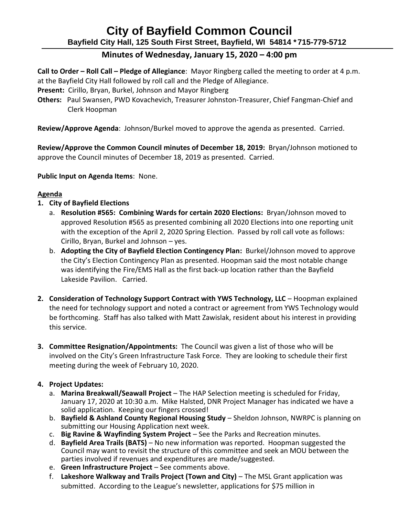# **City of Bayfield Common Council Bayfield City Hall, 125 South First Street, Bayfield, WI 54814 \*715-779-5712**

## **Minutes of Wednesday, January 15, 2020 – 4:00 pm**

**Call to Order – Roll Call – Pledge of Allegiance**: Mayor Ringberg called the meeting to order at 4 p.m. at the Bayfield City Hall followed by roll call and the Pledge of Allegiance.

**Present:** Cirillo, Bryan, Burkel, Johnson and Mayor Ringberg

**Others:** Paul Swansen, PWD Kovachevich, Treasurer Johnston-Treasurer, Chief Fangman-Chief and Clerk Hoopman

**Review/Approve Agenda**: Johnson/Burkel moved to approve the agenda as presented. Carried.

**Review/Approve the Common Council minutes of December 18, 2019:** Bryan/Johnson motioned to approve the Council minutes of December 18, 2019 as presented. Carried.

**Public Input on Agenda Items**: None.

### **Agenda**

- **1. City of Bayfield Elections**
	- a. **Resolution #565: Combining Wards for certain 2020 Elections:** Bryan/Johnson moved to approved Resolution #565 as presented combining all 2020 Elections into one reporting unit with the exception of the April 2, 2020 Spring Election. Passed by roll call vote as follows: Cirillo, Bryan, Burkel and Johnson – yes.
	- b. **Adopting the City of Bayfield Election Contingency Plan:** Burkel/Johnson moved to approve the City's Election Contingency Plan as presented. Hoopman said the most notable change was identifying the Fire/EMS Hall as the first back-up location rather than the Bayfield Lakeside Pavilion. Carried.
- **2. Consideration of Technology Support Contract with YWS Technology, LLC** Hoopman explained the need for technology support and noted a contract or agreement from YWS Technology would be forthcoming. Staff has also talked with Matt Zawislak, resident about his interest in providing this service.
- **3. Committee Resignation/Appointments:** The Council was given a list of those who will be involved on the City's Green Infrastructure Task Force. They are looking to schedule their first meeting during the week of February 10, 2020.

### **4. Project Updates:**

- a. **Marina Breakwall/Seawall Project** The HAP Selection meeting is scheduled for Friday, January 17, 2020 at 10:30 a.m. Mike Halsted, DNR Project Manager has indicated we have a solid application. Keeping our fingers crossed!
- b. **Bayfield & Ashland County Regional Housing Study** Sheldon Johnson, NWRPC is planning on submitting our Housing Application next week.
- c. **Big Ravine & Wayfinding System Project** See the Parks and Recreation minutes.
- d. **Bayfield Area Trails (BATS)** No new information was reported. Hoopman suggested the Council may want to revisit the structure of this committee and seek an MOU between the parties involved if revenues and expenditures are made/suggested.
- e. **Green Infrastructure Project** See comments above.
- f. **Lakeshore Walkway and Trails Project (Town and City)** The MSL Grant application was submitted. According to the League's newsletter, applications for \$75 million in